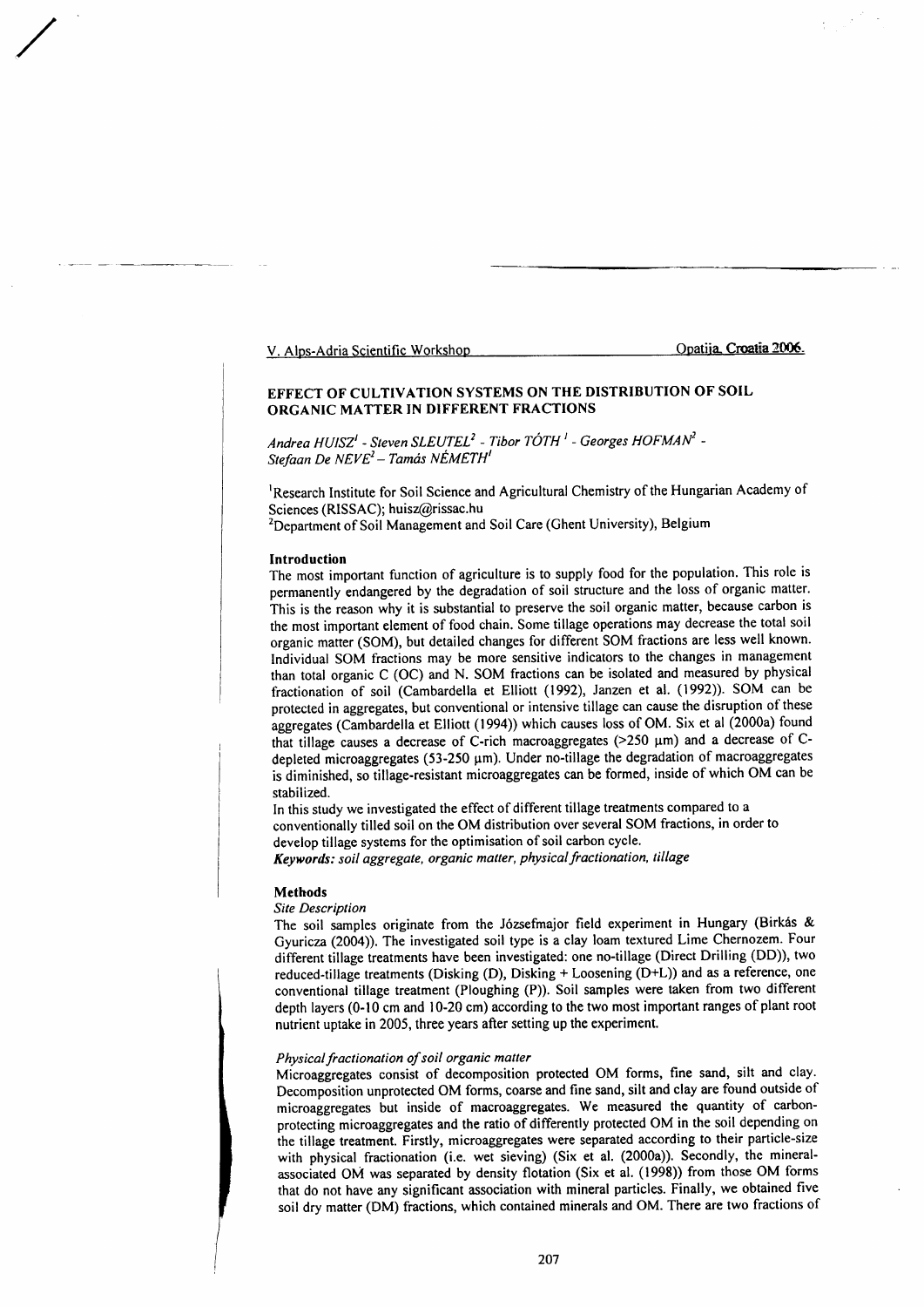V. Alps-Adria Scientific Workshop Opatija Croatia 2006.

# EFFECT OF CULTTVATION SYSTEMS ON THE DISTRIBUTION OF SOIL ORGANIC MATTER IN DIFFERENT FRACTIONS

Andrea  $HUISZ'$  - Steven SLEUTEL<sup>2</sup> - Tibor TÓTH<sup>1</sup> - Georges  $HOFMAN^2$  -Stefaan De NEVE<sup>2</sup> - Tamás NÉMETH<sup>1</sup>

<sup>1</sup>Research Institute for Soil Science and Agricultural Chemistry of the Hungarian Academy of Sciences (RISSAC); huisz@rissac.hu

<sup>2</sup>Department of Soil Management and Soil Care (Ghent University), Belgium

#### Introduction

/

The most important function of agriculture is to supply food for the population. This role is permanently endangered by the degradation of soil structure and the loss of organic matter. This is the reason why it is substantial to preserve the soil organic matter, because carbon is the most important element of food chain. Some tillage operations may decrease the total soil organic matter (SOM), but detailed changes for different SOM fractions are less well known' Individual SOM fractions may be more sensitive indicators to the changes in management rhan total organic C (OC) and N. SOM fractions can be isolated and measured by physical fractionation of soil (Cambardella et Elliott (1992), Janzen et al. (1992)). SOM can be protected in aggregates, but conventional or intensive tillage can cause the disruption of these aggregates (Cambardella et Elliott (1994)) which causes loss of OM. Six et al (2000a) found that tillage causes a decrease of C-rich macroaggregates ( $>250 \mu m$ ) and a decrease of Cdepleted microaggregates (53-250 µm). Under no-tillage the degradation of macroaggregates is diminished, so tillage-resistant microaggregates can be formed, inside of which OM can be stabilized.

In this study we investigated the effect of different tillage treatments compared to a conventionally tilled soil on the OM distribution over several SOM fractions, in order to develop tillage systems for the optimisation of soil carbon cycle. Keywords: soil aggregate, organic matter, physical fractionation, tillage

### **Methods**

## Site Description

The soil samples originate from the Józsefmajor field experiment in Hungary (Birkás & Gyuricza (2004). The investigated soil type is a clay loam textured Lime Chernozem. Four different tillage treatments have been investigated: one no-tillage (Direct Drilling (DD)), two reduced-tillage treatments (Disking (D), Disking + Loosening (D+L)) and as a reference, one conventional tillage treatment (Ploughing (P)). Soil samples were taken from two different depth layers (0-10 cm and 10-20 cm) according to the two most important ranges of plant root nutrient uptake in 2005, three years after setting up the experiment.

#### Physical fractionation of soil organic matter

Microaggregates consist of decomposition protected OM forms, fine sand, silt and clay. Decomposition unprotected OM forms, coarse and fine sand, silt and clay are found outside of microaggregates but inside of macroaggregates. We measured the quantity of carbonprotecting microaggregates and the ratio of differently protected OM in the soil depending on the tillage treatment. Firstly, microaggregates were separated according to their particle-size with physical fractionation (i.e. wet sieving) (Six et al. (2000a)). Secondly, the mineralassociated OM was separated by density flotation (Six et al. (1998)) from those OM forms that do not have any significant association with mineral particles. Finally, we obtained five soit dry matter (DM) fractions, which contained minerals and OM. There are two fractions of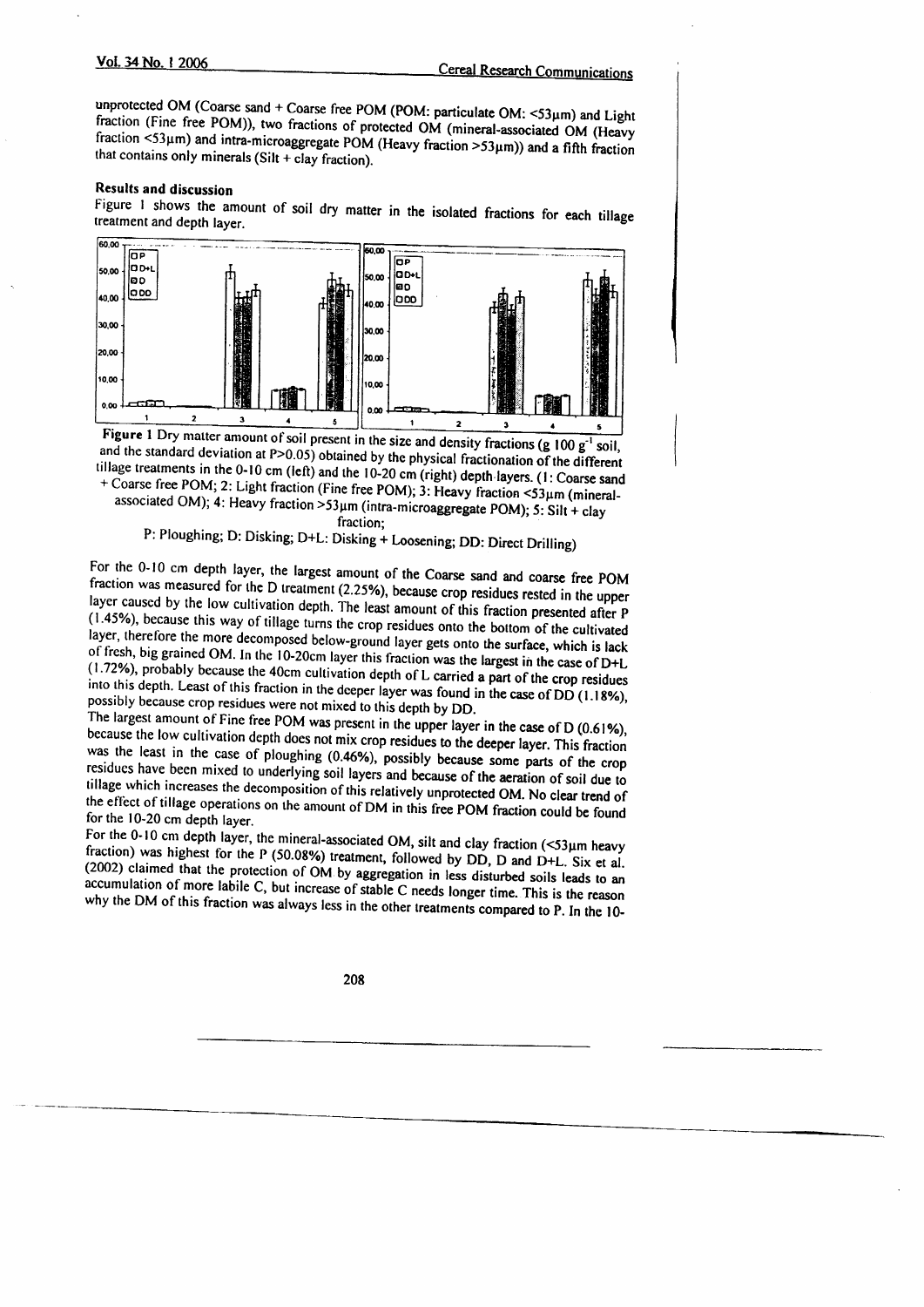unprotected OM (Coarse sand + Coarse free POM (POM: particulate OM: <53µm) and Light fraction (Fine free POM)), two fractions of protected OM (mineral-associated OM (Heavy fraction  $\leq 53\,\mu$ m) and intra-microaggregate POM (Heavy fraction >53 $\mu$ m)) and a fifth fraction that contains only minerals (Silt + clay fraction).

# **Results and discussion**

Figure 1 shows the amount of soil dry matter in the isolated fractions for each tillage treatment and depth layer.



Figure 1 Dry matter amount of soil present in the size and density fractions (g  $100 g^{-1}$  soil, and the standard deviation at  $P > 0.05$ ) obtained by the physical fractionation of the different tillage treatments in the 0-10 cm (left) and the 10-20 cm (right) depth layers. (1: Coarse sand + Coarse free POM; 2: Light fraction (Fine free POM); 3: Heavy fraction <53µm (mineralassociated OM); 4: Heavy fraction >53 $\mu$ m (intra-microaggregate POM); 5: Silt + clay

fraction;

P: Ploughing; D: Disking; D+L: Disking + Loosening; DD: Direct Drilling)

For the 0-10 cm depth layer, the largest amount of the Coarse sand and coarse free POM fraction was measured for the D treatment (2.25%), because crop residues rested in the upper layer caused by the low cultivation depth. The least amount of this fraction presented after P (1.45%), because this way of tillage turns the crop residues onto the bottom of the cultivated layer, therefore the more decomposed below-ground layer gets onto the surface, which is lack of fresh, big grained OM. In the 10-20cm layer this fraction was the largest in the case of D+L (1.72%), probably because the 40cm cultivation depth of L carried a part of the crop residues into this depth. Least of this fraction in the deeper layer was found in the case of DD (1.18%), possibly because crop residues were not mixed to this depth by DD.

The largest amount of Fine free POM was present in the upper layer in the case of D (0.61%), because the low cultivation depth does not mix crop residues to the deeper layer. This fraction was the least in the case of ploughing (0.46%), possibly because some parts of the crop residues have been mixed to underlying soil layers and because of the aeration of soil due to tillage which increases the decomposition of this relatively unprotected OM. No clear trend of the effect of tillage operations on the amount of DM in this free POM fraction could be found for the 10-20 cm depth layer.

For the 0-10 cm depth layer, the mineral-associated OM, silt and clay fraction  $(53\mu m$  heavy fraction) was highest for the P (50.08%) treatment, followed by DD, D and D+L. Six et al. (2002) claimed that the protection of OM by aggregation in less disturbed soils leads to an accumulation of more labile C, but increase of stable C needs longer time. This is the reason why the DM of this fraction was always less in the other treatments compared to P. In the 10-

208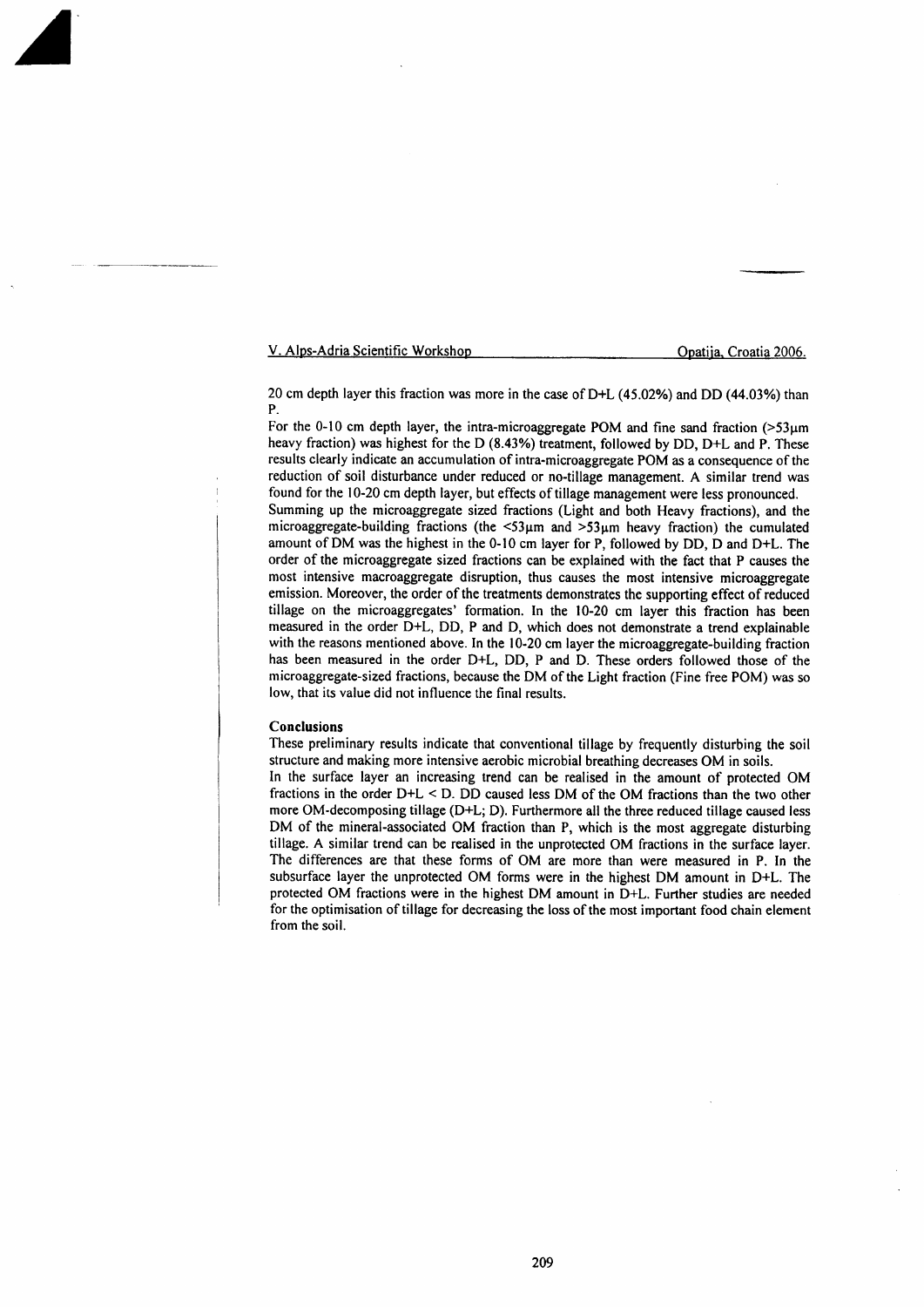V. Alps-Adria Scientific Workshop Opatija, Croatia 2006.

 $\blacktriangle$ 

20 cm depth layer this fraction was more in the case of  $D+L$  (45.02%) and DD (44.03%) than P.

For the 0-10 cm depth layer, the intra-microaggregate POM and fine sand fraction  $($ >53 $\mu$ m heavy fraction) was highest for the D (8.43%) treatment, followed by DD, D+L and P. These results clearly indicate an accumulation of intra-microaggregate POM as a consequence of the reduction of soil disturbance under reduced or no-tillage management. A similar trend was found for the l0-20 cm depth layer, but effects of tillage management were less pronounced. Summing up the microaggregate sized fractions (Light and both Heavy fractions), and the microaggregate-building fractions (the  $\lt 53\mu m$  and  $\gt 53\mu m$  heavy fraction) the cumulated amount of DM was the highest in the 0-10 cm layer for P, followed by DD, D and D+L. The order of the microaggregate sized fractions can be explained with the fact that P causes the most intensive macroaggregate disruption, thus causes the most intensive microaggregate emission. Moreover, the order of the treatments demonstrates the supporting effect of reduced tillage on the microaggregates' formation. In the 10-20 cm layer this fraction has been measured in the order D+L, DD, P and D, which does not demonstrate atrend explainable with the reasons mentioned above. In the 10-20 cm layer the microaggregate-building fraction has been measured in the order D+L, DD, P and D. These orders followed those of the microaggregate-sized fractions, because the DM of the Light fraction (Fine free POM) was so low, that its value did not influence the final results.

#### Conclusions

These preliminary results indicate that conventional tillage by frequently disturbing the soil structure and making more intensive aerobic microbial breathing decreases OM in soils. In the surface layer an increasing trend can be realised in the amount of protected OM fractions in the order D+L < D. DD caused less DM of the OM fractions than the two other more OM-decomposing tillage (D+L; D). Furthermore all the three reduced tillage caused less DM of the mineral-associated OM fraction than P, which is the most aggregate disturbing tillage. A similar trend can be realised in the unprotected OM fractions in the surface layer. The differences are that these forms of OM are more than were measured in P. In the subsurface layer the unprotected OM forms were in the highest DM amount in D+L. The protected OM fractions were in the highest DM amount in D+L. Further studies are needed for the optimisation of tillage for decreasing the loss of the most important food chain element from the soil.